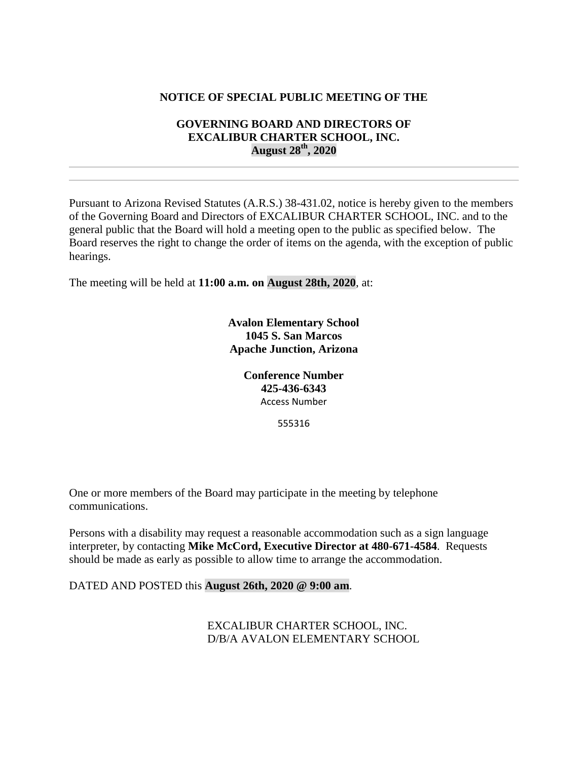## **NOTICE OF SPECIAL PUBLIC MEETING OF THE**

## **GOVERNING BOARD AND DIRECTORS OF EXCALIBUR CHARTER SCHOOL, INC. August 28th, 2020**

Pursuant to Arizona Revised Statutes (A.R.S.) 38-431.02, notice is hereby given to the members of the Governing Board and Directors of EXCALIBUR CHARTER SCHOOL, INC. and to the general public that the Board will hold a meeting open to the public as specified below. The Board reserves the right to change the order of items on the agenda, with the exception of public hearings.

The meeting will be held at **11:00 a.m. on August 28th, 2020**, at:

**Avalon Elementary School 1045 S. San Marcos Apache Junction, Arizona**

> **Conference Number 425-436-6343** Access Number

> > 555316

One or more members of the Board may participate in the meeting by telephone communications.

Persons with a disability may request a reasonable accommodation such as a sign language interpreter, by contacting **Mike McCord, Executive Director at 480-671-4584**. Requests should be made as early as possible to allow time to arrange the accommodation.

DATED AND POSTED this **August 26th, 2020 @ 9:00 am**.

EXCALIBUR CHARTER SCHOOL, INC. D/B/A AVALON ELEMENTARY SCHOOL